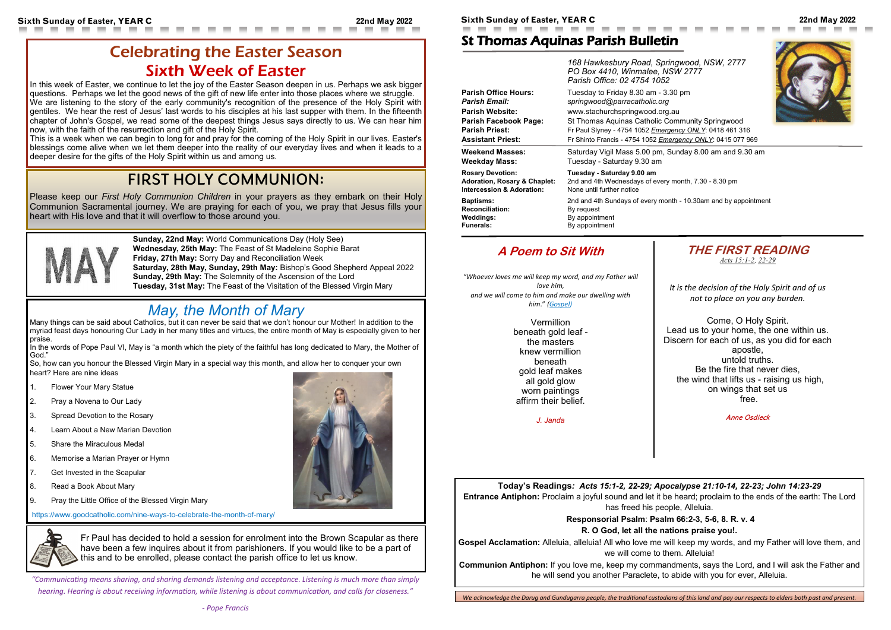**Today's Readings***: Acts 15:1-2, 22-29; Apocalypse 21:10-14, 22-23; John 14:23-29*

**Gospel Acclamation:** Alleluia, alleluia! All who love me will keep my words, and my Father will love them, and we will come to them. Alleluial

**Entrance Antiphon:** Proclaim a joyful sound and let it be heard; proclaim to the ends of the earth: The Lord has freed his people, Alleluia.

#### **Responsorial Psalm**: **Psalm 66:2-3, 5-6, 8. R. v. 4**

#### **R. O God, let all the nations praise you!.**

**Communion Antiphon:** If you love me, keep my commandments, says the Lord, and I will ask the Father and he will send you another Paraclete, to abide with you for ever, Alleluia.

**Sixth Sunday of Easter, YEAR C 22nd May 2022 Sixth Sunday of Easter, YEAR C 22nd May 2022**

## St Thomas Aquinas Parish Bulletin

|                                         | 168 Hawkesbury Road, Springwood, NSW, 2777<br>PO Box 4410, Winmalee, NSW 2777<br>Parish Office: 02 4754 1052 |
|-----------------------------------------|--------------------------------------------------------------------------------------------------------------|
| <b>Parish Office Hours:</b>             | Tuesday to Friday 8.30 am - 3.30 pm                                                                          |
| <b>Parish Email:</b>                    | springwood@parracatholic.org                                                                                 |
| <b>Parish Website:</b>                  | www.stachurchspringwood.org.au                                                                               |
| Parish Facebook Page:                   | St Thomas Aquinas Catholic Community Springwood                                                              |
| <b>Parish Priest:</b>                   | Fr Paul Slyney - 4754 1052 Emergency ONLY: 0418 461 316                                                      |
| <b>Assistant Priest:</b>                | Fr Shinto Francis - 4754 1052 Emergency ONLY: 0415 077 969                                                   |
| <b>Weekend Masses:</b>                  | Saturday Vigil Mass 5.00 pm, Sunday 8.00 am and 9.30 am                                                      |
| <b>Weekday Mass:</b>                    | Tuesday - Saturday 9.30 am                                                                                   |
| <b>Rosary Devotion:</b>                 | Tuesday - Saturday 9.00 am                                                                                   |
| <b>Adoration, Rosary &amp; Chaplet:</b> | 2nd and 4th Wednesdays of every month, 7.30 - 8.30 pm                                                        |
| Intercession & Adoration:               | None until further notice                                                                                    |
| <b>Baptisms:</b>                        | 2nd and 4th Sundays of every month - 10.30am and by appointment                                              |
| <b>Reconciliation:</b>                  | By request                                                                                                   |
| Weddings:                               | By appointment                                                                                               |
| <b>Funerals:</b>                        | By appointment                                                                                               |

In this week of Easter, we continue to let the joy of the Easter Season deepen in us. Perhaps we ask bigger questions. Perhaps we let the good news of the gift of new life enter into those places where we struggle. We are listening to the story of the early community's recognition of the presence of the Holy Spirit with gentiles. We hear the rest of Jesus' last words to his disciples at his last supper with them. In the fifteenth chapter of John's Gospel, we read some of the deepest things Jesus says directly to us. We can hear him now, with the faith of the resurrection and gift of the Holy Spirit.

This is a week when we can begin to long for and pray for the coming of the Holy Spirit in our lives. Easter's blessings come alive when we let them deeper into the reality of our everyday lives and when it leads to a deeper desire for the gifts of the Holy Spirit within us and among us.



*It is the decision of the Holy Spirit and of us not to place on you any burden.*

Come, O Holy Spirit. Lead us to your home, the one within us. Discern for each of us, as you did for each apostle, untold truths. Be the fire that never dies, the wind that lifts us - raising us high, on wings that set us free.

Anne Osdieck





### **A Poem to Sit With**

*"Whoever loves me will keep my word, and my Father will love him, and we will come to him and make our dwelling with him*." *[\(Gospel\)](about:blank)*

Many things can be said about Catholics, but it can never be said that we don't honour our Mother! In addition to the myriad feast days honouring Our Lady in her many titles and virtues, the entire month of May is especially given to her praise.

In the words of Pope Paul VI, May is "a month which the piety of the faithful has long dedicated to Mary, the Mother of God."

Vermillion beneath gold leaf the masters knew vermillion beneath gold leaf makes all gold glow worn paintings affirm their belief.

*J. Janda*

# Celebrating the Easter Season Sixth Week of Easter

---

# FIRST HOLY COMMUNION:

Please keep our *First Holy Communion Children* in your prayers as they embark on their Holy Communion Sacramental journey. We are praying for each of you, we pray that Jesus fills your heart with His love and that it will overflow to those around you.



*"Communicating means sharing, and sharing demands listening and acceptance. Listening is much more than simply hearing. Hearing is about receiving information, while listening is about communication, and calls for closeness."* 





**Sunday, 22nd May:** World Communications Day (Holy See) **Wednesday, 25th May:** The Feast of St Madeleine Sophie Barat **Friday, 27th May:** Sorry Day and Reconciliation Week **Saturday, 28th May, Sunday, 29th May:** Bishop's Good Shepherd Appeal 2022 **Sunday, 29th May:** The Solemnity of the Ascension of the Lord **Tuesday, 31st May:** The Feast of the Visitation of the Blessed Virgin Mary

# *May, the Month of Mary*

So, how can you honour the Blessed Virgin Mary in a special way this month, and allow her to conquer your own heart? Here are nine ideas

- 1. Flower Your Mary Statue
- 2. Pray a Novena to Our Lady
- 3. Spread Devotion to the Rosary
- 4. Learn About a New Marian Devotion
- 5. Share the Miraculous Medal
- 6. Memorise a Marian Prayer or Hymn
- 7. Get Invested in the Scapular
- 8. Read a Book About Mary
- 9. Pray the Little Office of the Blessed Virgin Mary

https://www.goodcatholic.com/nine-ways-to-celebrate-the-month-of-mary/



Fr Paul has decided to hold a session for enrolment into the Brown Scapular as there have been a few inquires about it from parishioners. If you would like to be a part of this and to be enrolled, please contact the parish office to let us know.